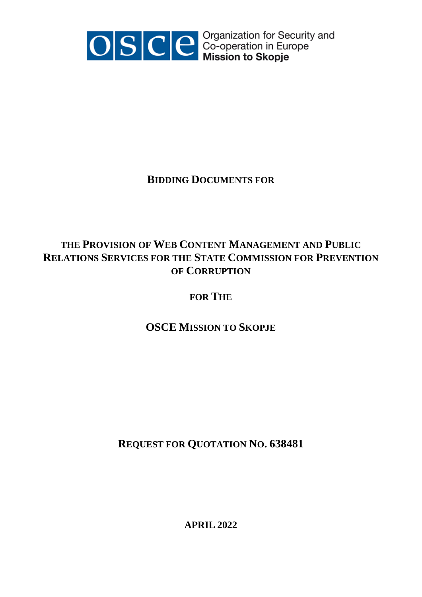

OSCE co-operation for Security and<br>Mission to Skopje

## **BIDDING DOCUMENTS FOR**

# **THE PROVISION OF WEB CONTENT MANAGEMENT AND PUBLIC RELATIONS SERVICES FOR THE STATE COMMISSION FOR PREVENTION OF CORRUPTION**

## **FOR THE**

# **OSCE MISSION TO SKOPJE**

# **REQUEST FOR QUOTATION NO. 638481**

**APRIL 2022**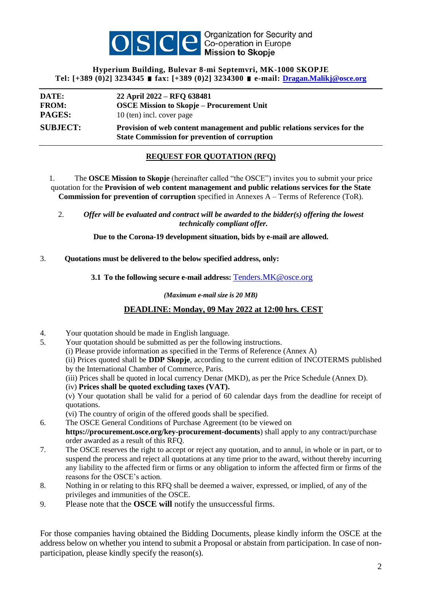

## **Hyperium Building, Bulevar 8-mi Septemvri, MK-1000 SKOPJE Tel: [+389 (0)2] 3234345 fax: [+389 (0)2] 3234300 e-mail: [Dragan.Malikj@osce.org](mailto:Dragan.Malikj@osce.org)**

| DATE:           | 22 April 2022 – RFQ 638481                                                                                                        |
|-----------------|-----------------------------------------------------------------------------------------------------------------------------------|
| <b>FROM:</b>    | <b>OSCE Mission to Skopje – Procurement Unit</b>                                                                                  |
| <b>PAGES:</b>   | 10 (ten) incl. cover page                                                                                                         |
| <b>SUBJECT:</b> | Provision of web content management and public relations services for the<br><b>State Commission for prevention of corruption</b> |

## **REQUEST FOR QUOTATION (RFQ)**

1. The **OSCE Mission to Skopje** (hereinafter called "the OSCE") invites you to submit your price quotation for the **Provision of web content management and public relations services for the State Commission for prevention of corruption** specified in Annexes A – Terms of Reference (ToR).

2. *Offer will be evaluated and contract will be awarded to the bidder(s) offering the lowest technically compliant offer.*

**Due to the Corona-19 development situation, bids by e-mail are allowed.**

## 3. **Quotations must be delivered to the below specified address, only:**

**3.1 To the following secure e-mail address:** [Tenders.MK@osce.org](mailto:Tenders.MK@osce.org)

*(Maximum e-mail size is 20 MB)*

## **DEADLINE: Monday, 09 May 2022 at 12:00 hrs. CEST**

- 4. Your quotation should be made in English language.
- 5. Your quotation should be submitted as per the following instructions.
	- (i) Please provide information as specified in the Terms of Reference (Annex A)
	- (ii) Prices quoted shall be **DDP Skopje**, according to the current edition of INCOTERMS published by the International Chamber of Commerce, Paris.
	- (iii) Prices shall be quoted in local currency Denar (MKD), as per the Price Schedule (Annex D).
	- (iv) **Prices shall be quoted excluding taxes (VAT).**

(v) Your quotation shall be valid for a period of 60 calendar days from the deadline for receipt of quotations.

(vi) The country of origin of the offered goods shall be specified.

6. The OSCE General Conditions of Purchase Agreement (to be viewed on

**https://procurement.osce.org/key-procurement-documents**) shall apply to any contract/purchase order awarded as a result of this RFQ.

- 7. The OSCE reserves the right to accept or reject any quotation, and to annul, in whole or in part, or to suspend the process and reject all quotations at any time prior to the award, without thereby incurring any liability to the affected firm or firms or any obligation to inform the affected firm or firms of the reasons for the OSCE's action.
- 8. Nothing in or relating to this RFQ shall be deemed a waiver, expressed, or implied, of any of the privileges and immunities of the OSCE.
- 9. Please note that the **OSCE will** notify the unsuccessful firms.

For those companies having obtained the Bidding Documents, please kindly inform the OSCE at the address below on whether you intend to submit a Proposal or abstain from participation. In case of nonparticipation, please kindly specify the reason(s).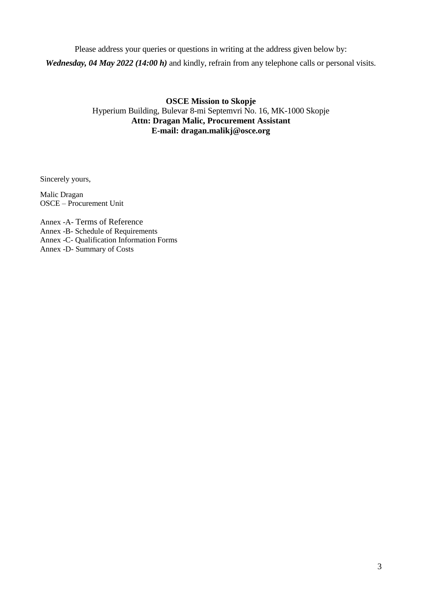Please address your queries or questions in writing at the address given below by: *Wednesday, 04 May 2022 (14:00 h)* and kindly, refrain from any telephone calls or personal visits.

## **OSCE Mission to Skopje** Hyperium Building, Bulevar 8-mi Septemvri No. 16, MK-1000 Skopje **Attn: Dragan Malic, Procurement Assistant E-mail: dragan.malikj@osce.org**

Sincerely yours,

Malic Dragan OSCE – Procurement Unit

Annex -A- Terms of Reference Annex -B- Schedule of Requirements Annex -C- Qualification Information Forms Annex -D- Summary of Costs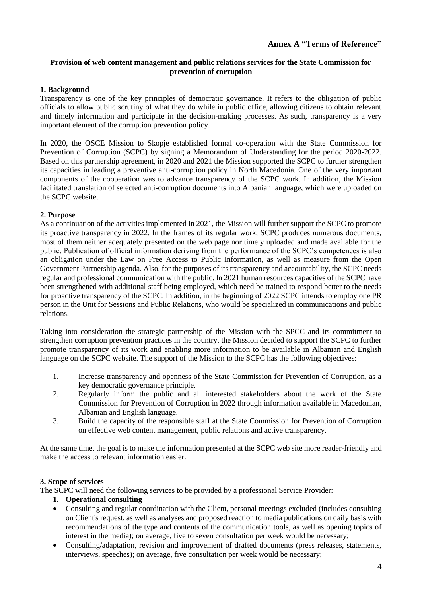## **Provision of web content management and public relations services for the State Commission for prevention of corruption**

## **1. Background**

Transparency is one of the key principles of democratic governance. It refers to the obligation of public officials to allow public scrutiny of what they do while in public office, allowing citizens to obtain relevant and timely information and participate in the decision-making processes. As such, transparency is a very important element of the corruption prevention policy.

In 2020, the OSCE Mission to Skopje established formal co-operation with the State Commission for Prevention of Corruption (SCPC) by signing a Memorandum of Understanding for the period 2020-2022. Based on this partnership agreement, in 2020 and 2021 the Mission supported the SCPC to further strengthen its capacities in leading a preventive anti-corruption policy in North Macedonia. One of the very important components of the cooperation was to advance transparency of the SCPC work. In addition, the Mission facilitated translation of selected anti-corruption documents into Albanian language, which were uploaded on the SCPC website.

#### **2. Purpose**

As a continuation of the activities implemented in 2021, the Mission will further support the SCPC to promote its proactive transparency in 2022. In the frames of its regular work, SCPC produces numerous documents, most of them neither adequately presented on the web page nor timely uploaded and made available for the public. Publication of official information deriving from the performance of the SCPC's competences is also an obligation under the Law on Free Access to Public Information, as well as measure from the Open Government Partnership agenda. Also, for the purposes of its transparency and accountability, the SCPC needs regular and professional communication with the public. In 2021 human resources capacities of the SCPC have been strengthened with additional staff being employed, which need be trained to respond better to the needs for proactive transparency of the SCPC. In addition, in the beginning of 2022 SCPC intends to employ one PR person in the Unit for Sessions and Public Relations, who would be specialized in communications and public relations.

Taking into consideration the strategic partnership of the Mission with the SPCC and its commitment to strengthen corruption prevention practices in the country, the Mission decided to support the SCPC to further promote transparency of its work and enabling more information to be available in Albanian and English language on the SCPC website. The support of the Mission to the SCPC has the following objectives:

- 1. Increase transparency and openness of the State Commission for Prevention of Corruption, as a key democratic governance principle.
- 2. Regularly inform the public and all interested stakeholders about the work of the State Commission for Prevention of Corruption in 2022 through information available in Macedonian, Albanian and English language.
- 3. Build the capacity of the responsible staff at the State Commission for Prevention of Corruption on effective web content management, public relations and active transparency.

At the same time, the goal is to make the information presented at the SCPC web site more reader-friendly and make the access to relevant information easier.

#### **3. Scope of services**

The SCPC will need the following services to be provided by a professional Service Provider:

- **1. Operational consulting**
- Consulting and regular coordination with the Client, personal meetings excluded (includes consulting on Client's request, as well as analyses and proposed reaction to media publications on daily basis with recommendations of the type and contents of the communication tools, as well as opening topics of interest in the media); on average, five to seven consultation per week would be necessary;
- Consulting/adaptation, revision and improvement of drafted documents (press releases, statements, interviews, speeches); on average, five consultation per week would be necessary;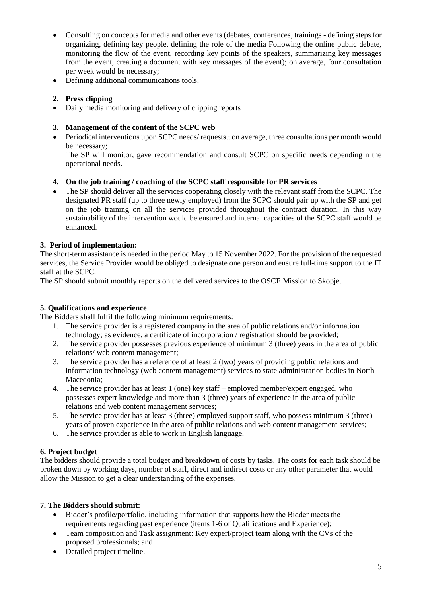- Consulting on concepts for media and other events (debates, conferences, trainings defining steps for organizing, defining key people, defining the role of the media Following the online public debate, monitoring the flow of the event, recording key points of the speakers, summarizing key messages from the event, creating a document with key massages of the event); on average, four consultation per week would be necessary;
- Defining additional communications tools.

## **2. Press clipping**

Daily media monitoring and delivery of clipping reports

## **3. Management of the content of the SCPC web**

• Periodical interventions upon SCPC needs/ requests.; on average, three consultations per month would be necessary;

The SP will monitor, gave recommendation and consult SCPC on specific needs depending n the operational needs.

## **4. On the job training / coaching of the SCPC staff responsible for PR services**

 The SP should deliver all the services cooperating closely with the relevant staff from the SCPC. The designated PR staff (up to three newly employed) from the SCPC should pair up with the SP and get on the job training on all the services provided throughout the contract duration. In this way sustainability of the intervention would be ensured and internal capacities of the SCPC staff would be enhanced.

## **3. Period of implementation:**

The short-term assistance is needed in the period May to 15 November 2022. For the provision of the requested services, the Service Provider would be obliged to designate one person and ensure full-time support to the IT staff at the SCPC.

The SP should submit monthly reports on the delivered services to the OSCE Mission to Skopje.

## **5. Qualifications and experience**

The Bidders shall fulfil the following minimum requirements:

- 1. The service provider is a registered company in the area of public relations and/or information technology; as evidence, a certificate of incorporation / registration should be provided;
- 2. The service provider possesses previous experience of minimum 3 (three) years in the area of public relations/ web content management;
- 3. The service provider has a reference of at least 2 (two) years of providing public relations and information technology (web content management) services to state administration bodies in North Macedonia;
- 4. The service provider has at least 1 (one) key staff employed member/expert engaged, who possesses expert knowledge and more than 3 (three) years of experience in the area of public relations and web content management services;
- 5. The service provider has at least 3 (three) employed support staff, who possess minimum 3 (three) years of proven experience in the area of public relations and web content management services;
- 6. The service provider is able to work in English language.

## **6. Project budget**

The bidders should provide a total budget and breakdown of costs by tasks. The costs for each task should be broken down by working days, number of staff, direct and indirect costs or any other parameter that would allow the Mission to get a clear understanding of the expenses.

## **7. The Bidders should submit:**

- Bidder's profile/portfolio, including information that supports how the Bidder meets the requirements regarding past experience (items 1-6 of Qualifications and Experience);
- Team composition and Task assignment: Key expert/project team along with the CVs of the proposed professionals; and
- Detailed project timeline.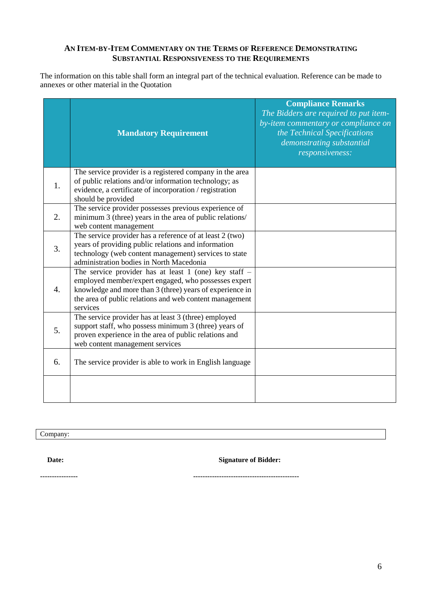## **AN ITEM-BY-ITEM COMMENTARY ON THE TERMS OF REFERENCE DEMONSTRATING SUBSTANTIAL RESPONSIVENESS TO THE REQUIREMENTS**

The information on this table shall form an integral part of the technical evaluation. Reference can be made to annexes or other material in the Quotation

|    | <b>Mandatory Requirement</b>                                                                                                                                                                                                                       | <b>Compliance Remarks</b><br>The Bidders are required to put item-<br>by-item commentary or compliance on<br>the Technical Specifications<br>demonstrating substantial<br>responsiveness: |
|----|----------------------------------------------------------------------------------------------------------------------------------------------------------------------------------------------------------------------------------------------------|-------------------------------------------------------------------------------------------------------------------------------------------------------------------------------------------|
| 1. | The service provider is a registered company in the area<br>of public relations and/or information technology; as<br>evidence, a certificate of incorporation / registration<br>should be provided                                                 |                                                                                                                                                                                           |
| 2. | The service provider possesses previous experience of<br>minimum 3 (three) years in the area of public relations/<br>web content management                                                                                                        |                                                                                                                                                                                           |
| 3. | The service provider has a reference of at least 2 (two)<br>years of providing public relations and information<br>technology (web content management) services to state<br>administration bodies in North Macedonia                               |                                                                                                                                                                                           |
| 4. | The service provider has at least 1 (one) key staff $-$<br>employed member/expert engaged, who possesses expert<br>knowledge and more than 3 (three) years of experience in<br>the area of public relations and web content management<br>services |                                                                                                                                                                                           |
| 5. | The service provider has at least 3 (three) employed<br>support staff, who possess minimum 3 (three) years of<br>proven experience in the area of public relations and<br>web content management services                                          |                                                                                                                                                                                           |
| 6. | The service provider is able to work in English language                                                                                                                                                                                           |                                                                                                                                                                                           |
|    |                                                                                                                                                                                                                                                    |                                                                                                                                                                                           |

Company:

 **Date: Signature of Bidder:**

**---------------- ---------------------------------------------**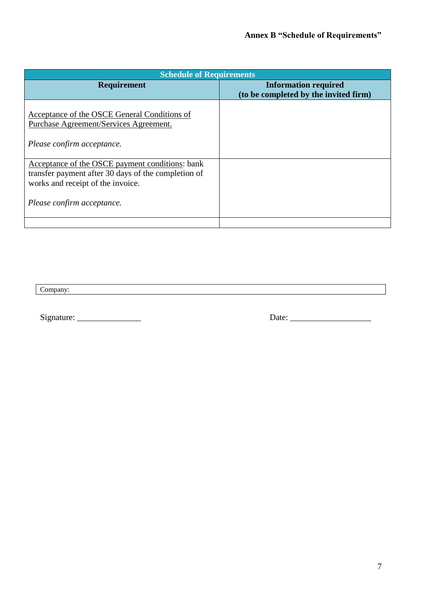| <b>Schedule of Requirements</b>                                                        |                                       |  |  |
|----------------------------------------------------------------------------------------|---------------------------------------|--|--|
| <b>Requirement</b>                                                                     | <b>Information required</b>           |  |  |
|                                                                                        | (to be completed by the invited firm) |  |  |
| Acceptance of the OSCE General Conditions of<br>Purchase Agreement/Services Agreement. |                                       |  |  |
| Please confirm acceptance.                                                             |                                       |  |  |
| Acceptance of the OSCE payment conditions: bank                                        |                                       |  |  |
| transfer payment after 30 days of the completion of                                    |                                       |  |  |
| works and receipt of the invoice.                                                      |                                       |  |  |
| Please confirm acceptance.                                                             |                                       |  |  |
|                                                                                        |                                       |  |  |

<u> 1989 - Johann Stoff, amerikansk politiker (d. 1989)</u>

Company:

Signature: \_\_\_\_\_\_\_\_\_\_\_\_\_\_\_ Date: \_\_\_\_\_\_\_\_\_\_\_\_\_\_\_\_\_\_\_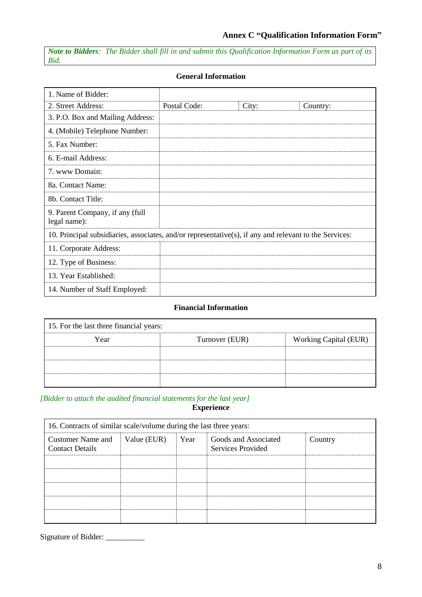*Note to Bidders: The Bidder shall fill in and submit this Qualification Information Form as part of its Bid.*

| 1. Name of Bidder:                                                                                     |              |       |          |
|--------------------------------------------------------------------------------------------------------|--------------|-------|----------|
| 2. Street Address:                                                                                     | Postal Code: | City: | Country: |
| 3. P.O. Box and Mailing Address:                                                                       |              |       |          |
| 4. (Mobile) Telephone Number:                                                                          |              |       |          |
| 5. Fax Number:                                                                                         |              |       |          |
| 6. E-mail Address:                                                                                     |              |       |          |
| 7. www Domain:                                                                                         |              |       |          |
| 8a. Contact Name:                                                                                      |              |       |          |
| 8b. Contact Title:                                                                                     |              |       |          |
| 9. Parent Company, if any (full<br>legal name):                                                        |              |       |          |
| 10. Principal subsidiaries, associates, and/or representative(s), if any and relevant to the Services: |              |       |          |
| 11. Corporate Address:                                                                                 |              |       |          |
| 12. Type of Business:                                                                                  |              |       |          |
| 13. Year Established:                                                                                  |              |       |          |
| 14. Number of Staff Employed:                                                                          |              |       |          |

## **Financial Information**

| 15. For the last three financial years: |                |                       |  |  |
|-----------------------------------------|----------------|-----------------------|--|--|
| Year                                    | Turnover (EUR) | Working Capital (EUR) |  |  |
|                                         |                |                       |  |  |
|                                         |                |                       |  |  |
|                                         |                |                       |  |  |

#### *[Bidder to attach the audited financial statements for the last year]* **Experience**

| 16. Contracts of similar scale/volume during the last three years: |             |      |                                           |         |
|--------------------------------------------------------------------|-------------|------|-------------------------------------------|---------|
| <b>Customer Name and</b><br><b>Contact Details</b>                 | Value (EUR) | Year | Goods and Associated<br>Services Provided | Country |
|                                                                    |             |      |                                           |         |
|                                                                    |             |      |                                           |         |
|                                                                    |             |      |                                           |         |
|                                                                    |             |      |                                           |         |
|                                                                    |             |      |                                           |         |

Signature of Bidder: \_\_\_\_\_\_\_\_\_\_\_